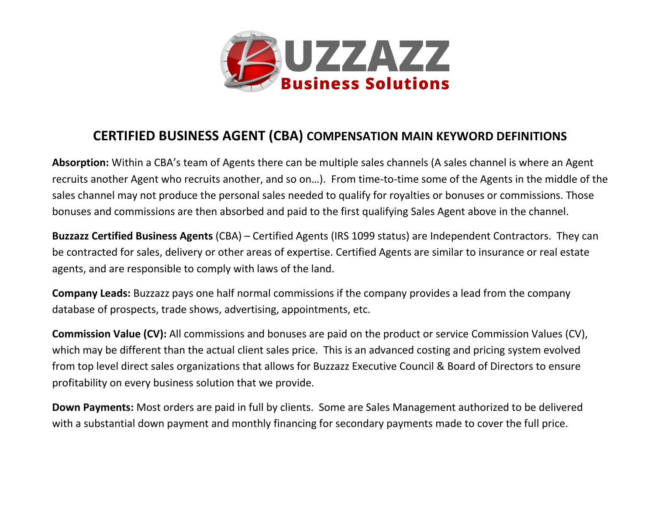

## **CERTIFIED BUSINESS AGENT (CBA) COMPENSATION MAIN KEYWORD DEFINITIONS**

**Absorption:** Within a CBA's team of Agents there can be multiple sales channels (A sales channel is where an Agent recruits another Agent who recruits another, and so on…). From time-to-time some of the Agents in the middle of the sales channel may not produce the personal sales needed to qualify for royalties or bonuses or commissions. Those bonuses and commissions are then absorbed and paid to the first qualifying Sales Agent above in the channel.

**Buzzazz Certified Business Agents** (CBA) – Certified Agents (IRS 1099 status) are Independent Contractors. They can be contracted for sales, delivery or other areas of expertise. Certified Agents are similar to insurance or real estate agents, and are responsible to comply with laws of the land.

**Company Leads:** Buzzazz pays one half normal commissions if the company provides a lead from the company database of prospects, trade shows, advertising, appointments, etc.

**Commission Value (CV):** All commissions and bonuses are paid on the product or service Commission Values (CV), which may be different than the actual client sales price. This is an advanced costing and pricing system evolved from top level direct sales organizations that allows for Buzzazz Executive Council & Board of Directors to ensure profitability on every business solution that we provide.

**Down Payments:** Most orders are paid in full by clients. Some are Sales Management authorized to be delivered with a substantial down payment and monthly financing for secondary payments made to cover the full price.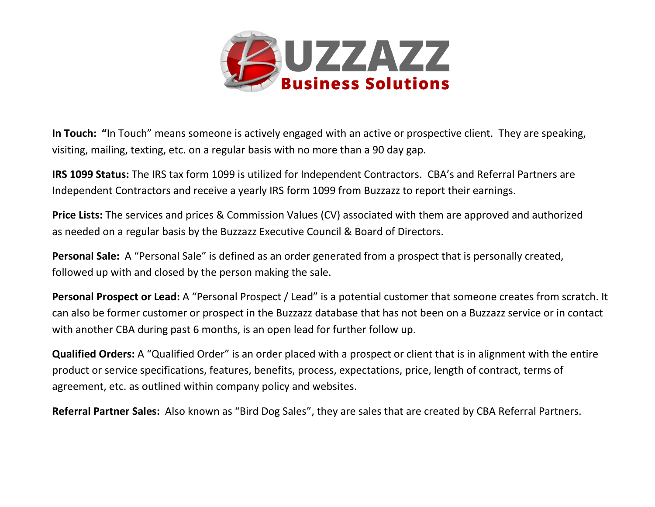

**In Touch: "**In Touch" means someone is actively engaged with an active or prospective client. They are speaking, visiting, mailing, texting, etc. on a regular basis with no more than a 90 day gap.

**IRS 1099 Status:** The IRS tax form 1099 is utilized for Independent Contractors. CBA's and Referral Partners are Independent Contractors and receive a yearly IRS form 1099 from Buzzazz to report their earnings.

**Price Lists:** The services and prices & Commission Values (CV) associated with them are approved and authorized as needed on a regular basis by the Buzzazz Executive Council & Board of Directors.

**Personal Sale:** A "Personal Sale" is defined as an order generated from a prospect that is personally created, followed up with and closed by the person making the sale.

**Personal Prospect or Lead:** A "Personal Prospect / Lead" is a potential customer that someone creates from scratch. It can also be former customer or prospect in the Buzzazz database that has not been on a Buzzazz service or in contact with another CBA during past 6 months, is an open lead for further follow up.

**Qualified Orders:** A "Qualified Order" is an order placed with a prospect or client that is in alignment with the entire product or service specifications, features, benefits, process, expectations, price, length of contract, terms of agreement, etc. as outlined within company policy and websites.

**Referral Partner Sales:** Also known as "Bird Dog Sales", they are sales that are created by CBA Referral Partners.